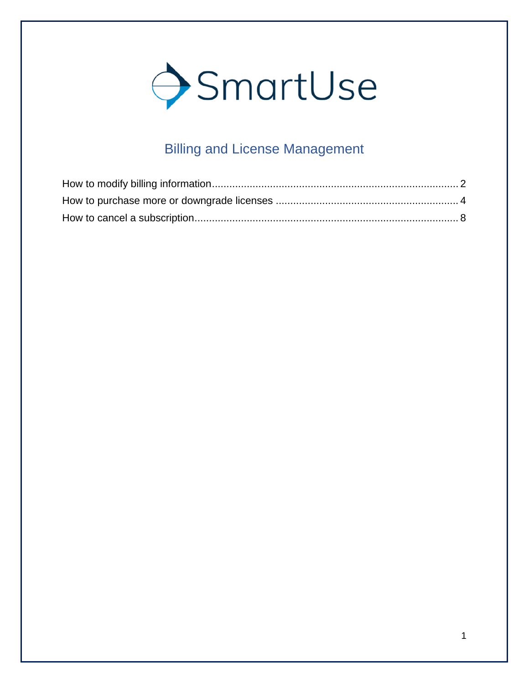

# Billing and License Management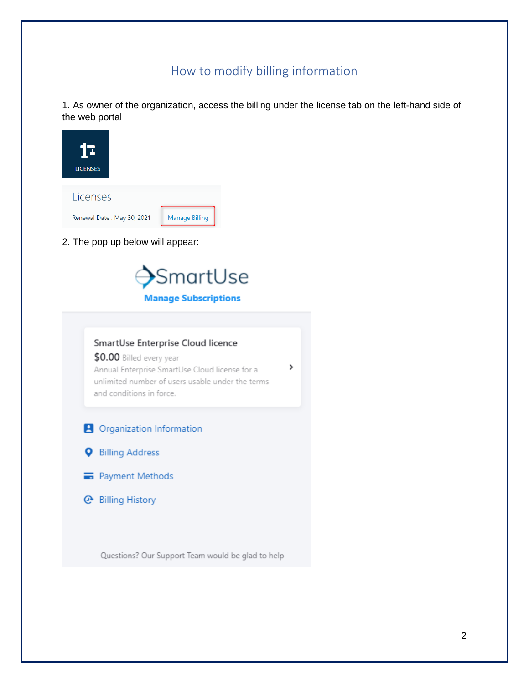## How to modify billing information

<span id="page-1-0"></span>1. As owner of the organization, access the billing under the license tab on the left-hand side of the web portal

>



2. The pop up below will appear:



# SmartUse Enterprise Cloud licence

\$0.00 Billed every year Annual Enterprise SmartUse Cloud license for a unlimited number of users usable under the terms and conditions in force.

- **A** Organization Information
- **Q** Billing Address
- Payment Methods
- **@** Billing History

Questions? Our Support Team would be glad to help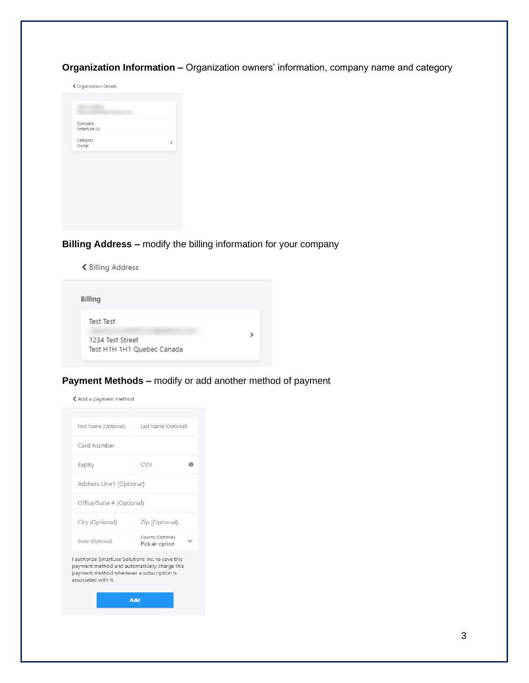**Organization Information –** Organization owners' information, company name and category

← Organization Details

| Company<br>SmartUse (S) |  |
|-------------------------|--|
| Category<br>Owner       |  |
|                         |  |

#### **Billing Address –** modify the billing information for your company

く Billing Address

| Billing                                                     |  |
|-------------------------------------------------------------|--|
| Test Test<br>1234 Test Street<br>Test H1H 1H1 Quebec Canada |  |

#### **Payment Methods –** modify or add another method of payment

く Add a payment method

| First Name (Optional)                            | Last Name (Optional)                 |   |  |  |
|--------------------------------------------------|--------------------------------------|---|--|--|
| Card Number                                      |                                      |   |  |  |
| Expiry                                           | CVV                                  | A |  |  |
| Address Line1 (Optional)                         |                                      |   |  |  |
| Office/Suite # (Optional)                        |                                      |   |  |  |
| City (Optional)                                  | Zip (Optional)                       |   |  |  |
| State (Optional)                                 | Country (Optional)<br>Pick an option |   |  |  |
| Lauthorize SmartLlse Solutions Inc. to save this |                                      |   |  |  |

payment method and automatically charge this payment method whenever a subscription is associated with it.

Add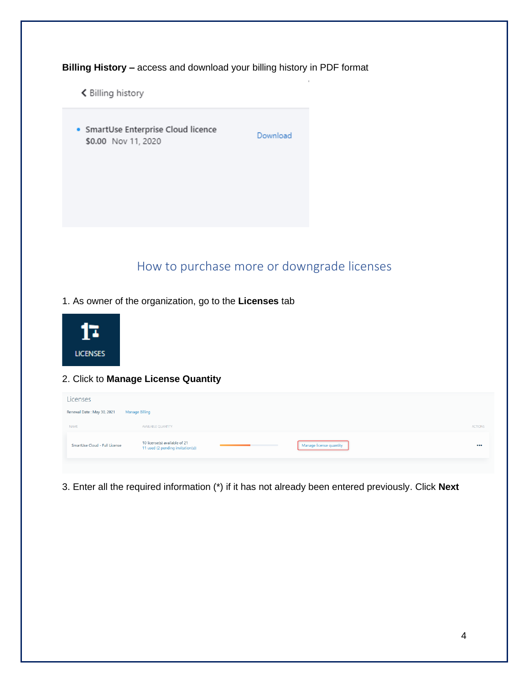**Billing History –** access and download your billing history in PDF format

く Billing history

· SmartUse Enterprise Cloud licence \$0.00 Nov 11, 2020

Download

## How to purchase more or downgrade licenses

<span id="page-3-0"></span>1. As owner of the organization, go to the **Licenses** tab



#### 2. Click to **Manage License Quantity**

| Licenses                      |                                                                    |                         |                |
|-------------------------------|--------------------------------------------------------------------|-------------------------|----------------|
| Renewal Date: May 30, 2021    | <b>Manage Billing</b>                                              |                         |                |
| <b>NAME</b>                   | AVAILABLE QUANTITY                                                 |                         | <b>ACTIONS</b> |
| SmartUse Cloud - Full License | 10 license(s) available of 21<br>11 used (2 pending invitation(s)) | Manage license quantity |                |
|                               |                                                                    |                         |                |

3. Enter all the required information (\*) if it has not already been entered previously. Click **Next**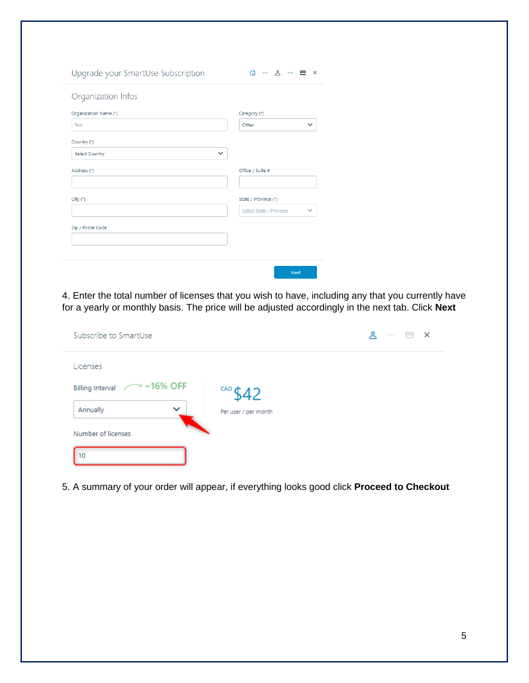| Upgrade your SmartUse Subscription    | $\cdots$ 8 $\cdots$ 8 $\times$<br>⋒     |
|---------------------------------------|-----------------------------------------|
| Organization Infos                    |                                         |
| Organization Name (*)                 | Category (*)                            |
| Test                                  | $\checkmark$<br>Other                   |
| Country (*)                           |                                         |
| <b>Select Country</b><br>$\checkmark$ |                                         |
| Address (*)                           | Office / Suite #                        |
| City (*)                              | State / Province (*)                    |
|                                       | Select State / Province<br>$\checkmark$ |
| Zip / Postal Code                     |                                         |
|                                       |                                         |
|                                       | <b>Next</b>                             |

4. Enter the total number of licenses that you wish to have, including any that you currently have for a yearly or monthly basis. The price will be adjusted accordingly in the next tab. Click **Next**

| Subscribe to SmartUse                      |                       | ዶ | $\mathbf{\times}$ |
|--------------------------------------------|-----------------------|---|-------------------|
| Licenses                                   |                       |   |                   |
| $\rightarrow$ ~16% OFF<br>Billing Interval | CAD $\bigoplus$<br>42 |   |                   |
| $\checkmark$<br>Annually                   | Per user / per month  |   |                   |
| Number of licenses                         |                       |   |                   |
| 10                                         |                       |   |                   |

5. A summary of your order will appear, if everything looks good click **Proceed to Checkout**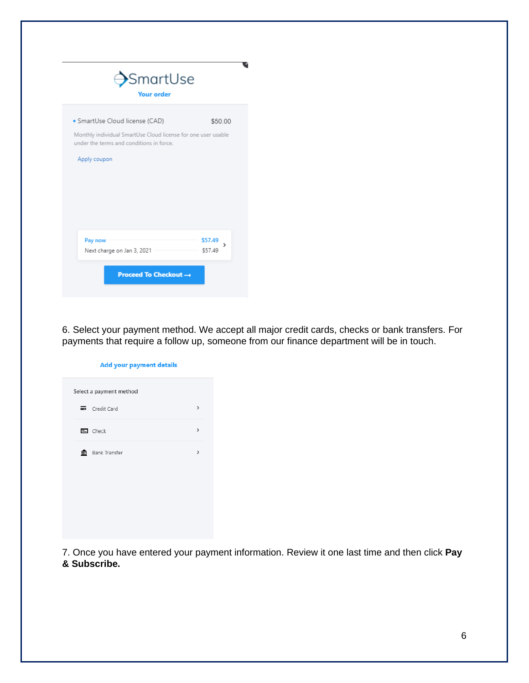| $\rightarrow$ SmartUse<br><b>Your order</b>                                                               |              |  |
|-----------------------------------------------------------------------------------------------------------|--------------|--|
| · SmartUse Cloud license (CAD)                                                                            | \$50.00      |  |
| Monthly individual SmartUse Cloud license for one user usable<br>under the terms and conditions in force. |              |  |
| Apply coupon                                                                                              |              |  |
|                                                                                                           |              |  |
|                                                                                                           |              |  |
|                                                                                                           |              |  |
|                                                                                                           |              |  |
| Pay now                                                                                                   | \$57.49<br>> |  |
| Next charge on Jan 3, 2021                                                                                | \$57.49      |  |
| <b>Proceed To Checkout →</b>                                                                              |              |  |

6. Select your payment method. We accept all major credit cards, checks or bank transfers. For payments that require a follow up, someone from our finance department will be in touch.

| <b>Add your payment details</b> |                         |               |  |
|---------------------------------|-------------------------|---------------|--|
|                                 | Select a payment method |               |  |
|                                 | Credit Card             | >             |  |
|                                 | $\mathbf{E}$ Check      | $\rightarrow$ |  |
|                                 | <b>ft</b> Bank Transfer | >             |  |
|                                 |                         |               |  |
|                                 |                         |               |  |
|                                 |                         |               |  |
|                                 |                         |               |  |

7. Once you have entered your payment information. Review it one last time and then click **Pay & Subscribe.**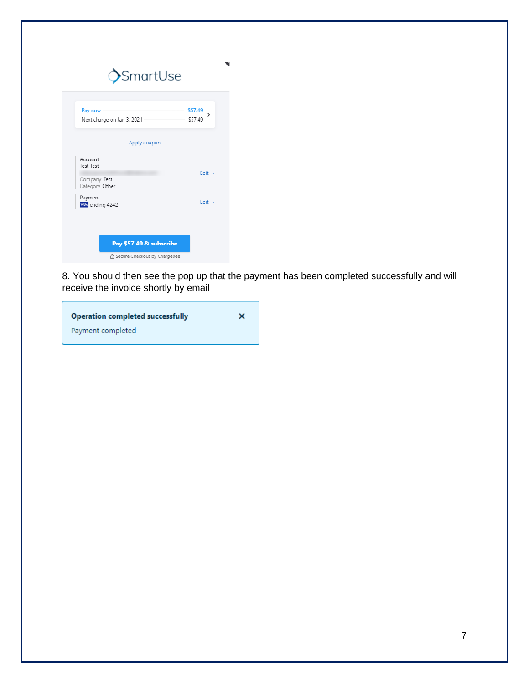| Pay now<br>Next charge on Jan 3, 2021 | \$57.49<br>><br>\$57.49 |
|---------------------------------------|-------------------------|
| Apply coupon                          |                         |
| Account<br><b>Test Test</b>           |                         |
| Company Test<br>Category Other        | $Fdir \rightarrow$      |
| Payment<br><b>VISA</b> ending 4242    | Edit $\rightarrow$      |

8. You should then see the pop up that the payment has been completed successfully and will receive the invoice shortly by email

| <b>Operation completed successfully</b> | × |
|-----------------------------------------|---|
| Payment completed                       |   |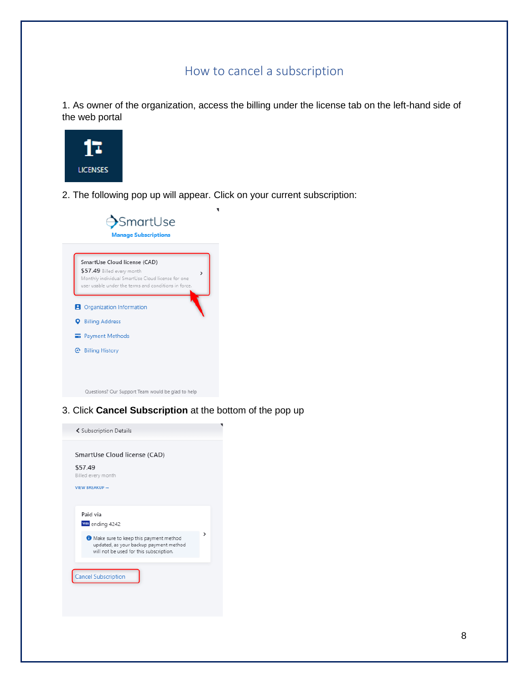### How to cancel a subscription

<span id="page-7-0"></span>1. As owner of the organization, access the billing under the license tab on the left-hand side of the web portal



2. The following pop up will appear. Click on your current subscription:



3. Click **Cancel Subscription** at the bottom of the pop up